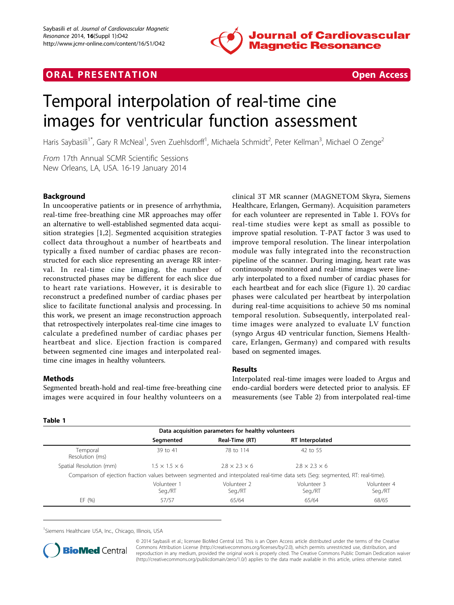

# **ORAL PRESENTATION CONSUMING ACCESS**



# Temporal interpolation of real-time cine images for ventricular function assessment

Haris Saybasili<sup>1\*</sup>, Gary R McNeal<sup>1</sup>, Sven Zuehlsdorff<sup>1</sup>, Michaela Schmidt<sup>2</sup>, Peter Kellman<sup>3</sup>, Michael O Zenge<sup>2</sup>

From 17th Annual SCMR Scientific Sessions New Orleans, LA, USA. 16-19 January 2014

# Background

In uncooperative patients or in presence of arrhythmia, real-time free-breathing cine MR approaches may offer an alternative to well-established segmented data acquisition strategies [[1](#page-1-0),[2\]](#page-1-0). Segmented acquisition strategies collect data throughout a number of heartbeats and typically a fixed number of cardiac phases are reconstructed for each slice representing an average RR interval. In real-time cine imaging, the number of reconstructed phases may be different for each slice due to heart rate variations. However, it is desirable to reconstruct a predefined number of cardiac phases per slice to facilitate functional analysis and processing. In this work, we present an image reconstruction approach that retrospectively interpolates real-time cine images to calculate a predefined number of cardiac phases per heartbeat and slice. Ejection fraction is compared between segmented cine images and interpolated realtime cine images in healthy volunteers.

#### Methods

Segmented breath-hold and real-time free-breathing cine images were acquired in four healthy volunteers on a clinical 3T MR scanner (MAGNETOM Skyra, Siemens Healthcare, Erlangen, Germany). Acquisition parameters for each volunteer are represented in Table 1. FOVs for real-time studies were kept as small as possible to improve spatial resolution. T-PAT factor 3 was used to improve temporal resolution. The linear interpolation module was fully integrated into the reconstruction pipeline of the scanner. During imaging, heart rate was continuously monitored and real-time images were linearly interpolated to a fixed number of cardiac phases for each heartbeat and for each slice (Figure [1](#page-1-0)). 20 cardiac phases were calculated per heartbeat by interpolation during real-time acquisitions to achieve 50 ms nominal temporal resolution. Subsequently, interpolated realtime images were analyzed to evaluate LV function (syngo Argus 4D ventricular function, Siemens Healthcare, Erlangen, Germany) and compared with results based on segmented images.

#### Results

Interpolated real-time images were loaded to Argus and endo-cardial borders were detected prior to analysis. EF measurements (see Table 2) from interpolated real-time

| $\sim$<br>v |  |  |  |  |
|-------------|--|--|--|--|
|-------------|--|--|--|--|

| Data acquisition parameters for healthy volunteers |                           |                           |                                                                                                                                |                        |  |  |
|----------------------------------------------------|---------------------------|---------------------------|--------------------------------------------------------------------------------------------------------------------------------|------------------------|--|--|
|                                                    | Segmented                 | Real-Time (RT)            | RT Interpolated                                                                                                                |                        |  |  |
| Temporal<br>Resolution (ms)                        | 39 to 41                  | 78 to 114                 | 42 to 55                                                                                                                       |                        |  |  |
| Spatial Resolution (mm)                            | $1.5 \times 1.5 \times 6$ | $2.8 \times 2.3 \times 6$ | $2.8 \times 2.3 \times 6$                                                                                                      |                        |  |  |
|                                                    |                           |                           | Comparison of ejection fraction values between segmented and interpolated real-time data sets (Seg: segmented, RT: real-time). |                        |  |  |
|                                                    | Volunteer 1<br>Seg./RT    | Volunteer 2<br>Seg./RT    | Volunteer 3<br>Seg./RT                                                                                                         | Volunteer 4<br>Seg./RT |  |  |
| EF $(% )$                                          | 57/57                     | 65/64                     | 65/64                                                                                                                          | 68/65                  |  |  |

<sup>1</sup>Siemens Healthcare USA, Inc., Chicago, Illinois, USA



© 2014 Saybasili et al.; licensee BioMed Central Ltd. This is an Open Access article distributed under the terms of the Creative Commons Attribution License [\(http://creativecommons.org/licenses/by/2.0](http://creativecommons.org/licenses/by/2.0)), which permits unrestricted use, distribution, and reproduction in any medium, provided the original work is properly cited. The Creative Commons Public Domain Dedication waiver [\(http://creativecommons.org/publicdomain/zero/1.0/](http://creativecommons.org/publicdomain/zero/1.0/)) applies to the data made available in this article, unless otherwise stated.